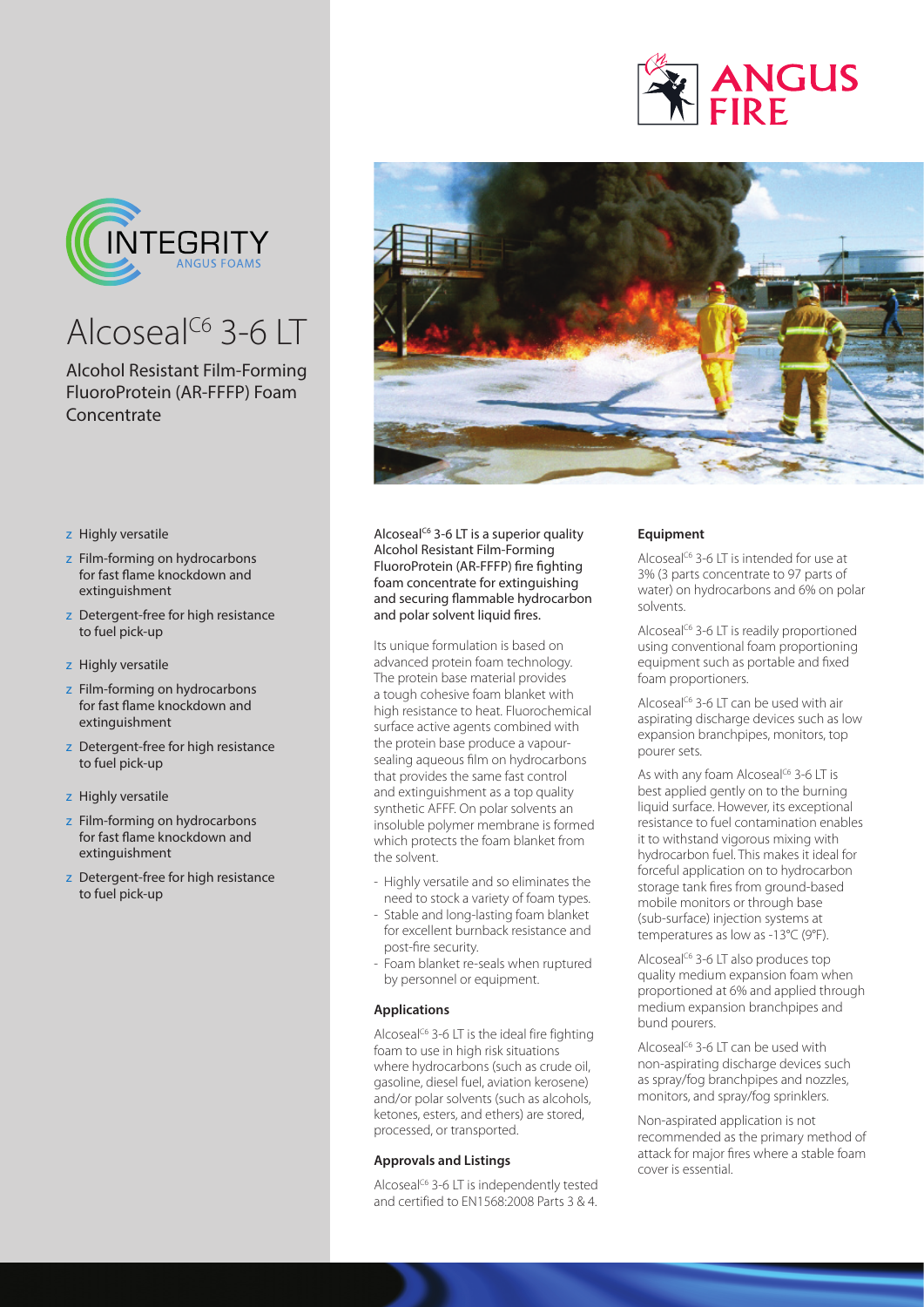

## Alcoseal<sup>C6</sup> 3-6 LT

## Alcohol Resistant Film-Forming FluoroProtein (AR-FFFP) Foam **Concentrate**

- z Highly versatile
- z Film-forming on hydrocarbons for fast flame knockdown and extinguishment
- z Detergent-free for high resistance to fuel pick-up
- z Highly versatile
- z Film-forming on hydrocarbons for fast flame knockdown and extinguishment
- z Detergent-free for high resistance to fuel pick-up
- z Highly versatile
- z Film-forming on hydrocarbons for fast flame knockdown and extinguishment
- z Detergent-free for high resistance to fuel pick-up



Alcoseal<sup>c6</sup> 3-6 LT is a superior quality Alcohol Resistant Film-Forming FluoroProtein (AR-FFFP) fire fighting foam concentrate for extinguishing and securing flammable hydrocarbon and polar solvent liquid fires.

Its unique formulation is based on advanced protein foam technology. The protein base material provides a tough cohesive foam blanket with high resistance to heat. Fluorochemical surface active agents combined with the protein base produce a vapoursealing aqueous film on hydrocarbons that provides the same fast control and extinguishment as a top quality synthetic AFFF. On polar solvents an insoluble polymer membrane is formed which protects the foam blanket from the solvent.

- Highly versatile and so eliminates the need to stock a variety of foam types.
- Stable and long-lasting foam blanket for excellent burnback resistance and post-fire security.
- Foam blanket re-seals when ruptured by personnel or equipment.

## **Applications**

Alcoseal<sup>C6</sup> 3-6 LT is the ideal fire fighting foam to use in high risk situations where hydrocarbons (such as crude oil, gasoline, diesel fuel, aviation kerosene) and/or polar solvents (such as alcohols, ketones, esters, and ethers) are stored, processed, or transported.

### **Approvals and Listings**

Alcoseal<sup>C6</sup> 3-6 LT is independently tested and certified to EN1568:2008 Parts 3 & 4.

## **Equipment**

Alcoseal<sup>C6</sup> 3-6 LT is intended for use at 3% (3 parts concentrate to 97 parts of water) on hydrocarbons and 6% on polar solvents.

**ANGUS** 

Alcoseal<sup>C6</sup> 3-6 LT is readily proportioned using conventional foam proportioning equipment such as portable and fixed foam proportioners.

Alcoseal<sup>C6</sup> 3-6 LT can be used with air aspirating discharge devices such as low expansion branchpipes, monitors, top pourer sets.

As with any foam Alcoseal<sup>C6</sup> 3-6 LT is best applied gently on to the burning liquid surface. However, its exceptional resistance to fuel contamination enables it to withstand vigorous mixing with hydrocarbon fuel. This makes it ideal for forceful application on to hydrocarbon storage tank fires from ground-based mobile monitors or through base (sub-surface) injection systems at temperatures as low as -13°C (9°F).

Alcoseal<sup>C6</sup> 3-6 LT also produces top quality medium expansion foam when proportioned at 6% and applied through medium expansion branchpipes and bund pourers.

Alcoseal<sup>C6</sup> 3-6 LT can be used with non-aspirating discharge devices such as spray/fog branchpipes and nozzles, monitors, and spray/fog sprinklers.

Non-aspirated application is not recommended as the primary method of attack for major fires where a stable foam cover is essential.